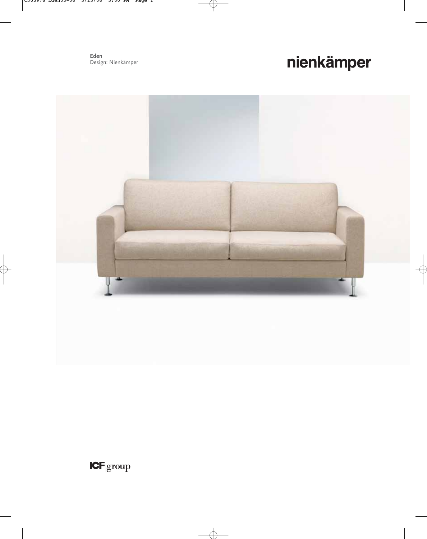**Eden** Design: Nienkämper

# nienkämper